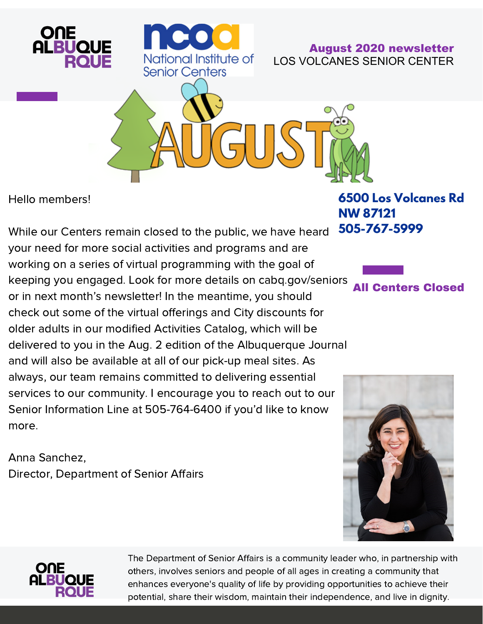

Hello members!

While our Centers remain closed to the public, we have heard your need for more social activities and programs and are working on a series of virtual programming with the goal of keeping you engaged. Look for more details on cabq.gov/seniors or in next month's newsletter! In the meantime, you should check out some of the virtual offerings and City discounts for older adults in our modified Activities Catalog, which will be delivered to you in the Aug. 2 edition of the Albuquerque Journal and will also be available at all of our pick-up meal sites. As always, our team remains committed to delivering essential services to our community. I encourage you to reach out to our Senior Information Line at 505-764-6400 if you'd like to know more.

Anna Sanchez, Director, Department of Senior Affairs

**6500 Los Volcanes Rd NW 87121 505-767-5999**







The Department of Senior Affairs is a community leader who, in partnership with others, involves seniors and people of all ages in creating a community that enhances everyone's quality of life by providing opportunities to achieve their potential, share their wisdom, maintain their independence, and live in dignity.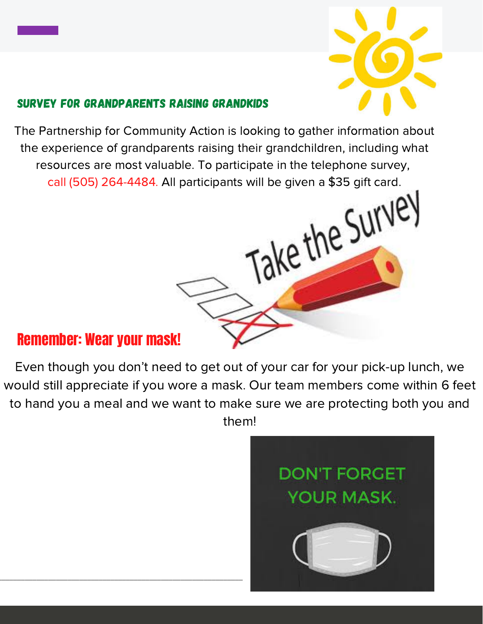

### Survey for Grandparents raising grandkids

The Partnership for Community Action is looking to gather information about the experience of grandparents raising their grandchildren, including what resources are most valuable. To participate in the telephone survey, call (505) 264-4484. All participants will be given a \$35 gift card.

# Take the Surve

## Remember: Wear your mask!

\_\_\_\_\_\_\_\_\_\_\_\_\_\_\_\_\_\_\_\_\_\_\_\_\_\_\_\_\_\_\_\_\_\_\_\_\_\_\_\_\_\_\_\_\_\_\_\_\_\_\_\_\_\_\_\_\_\_\_\_\_\_\_

Even though you don't need to get out of your car for your pick-up lunch, we would still appreciate if you wore a mask. Our team members come within 6 feet to hand you a meal and we want to make sure we are protecting both you and them!

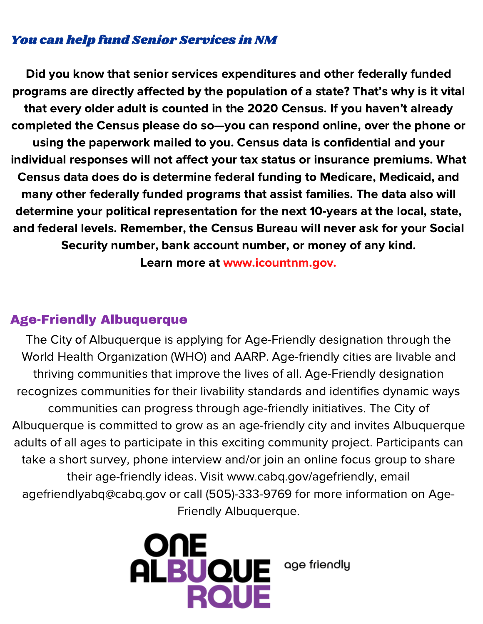### You can help fund Senior Services in NM

Did you know that senior services expenditures and other federally funded programs are directly affected by the population of a state? That's why is it vital that every older adult is counted in the 2020 Census. If you haven't already completed the Census please do so—you can respond online, over the phone or using the paperwork mailed to you. Census data is confidential and your individual responses will not affect your tax status or insurance premiums. What Census data does do is determine federal funding to Medicare, Medicaid, and many other federally funded programs that assist families. The data also will determine your political representation for the next 10-years at the local, state, and federal levels. Remember, the Census Bureau will never ask for your Social Security number, bank account number, or money of any kind. Learn more at www.icountnm.gov.

### Age-Friendly Albuquerque

The City of Albuquerque is applying for Age-Friendly designation through the World Health Organization (WHO) and AARP. Age-friendly cities are livable and thriving communities that improve the lives of all. Age-Friendly designation recognizes communities for their livability standards and identifies dynamic ways communities can progress through age-friendly initiatives. The City of Albuquerque is committed to grow as an age-friendly city and invites Albuquerque adults of all ages to participate in this exciting community project. Participants can take a short survey, phone interview and/or join an online focus group to share their age-friendly ideas. Visit www.cabq.gov/agefriendly, email agefriendlyabq@cabq.gov or call (505)-333-9769 for more information on Age-Friendly Albuquerque.



age friendly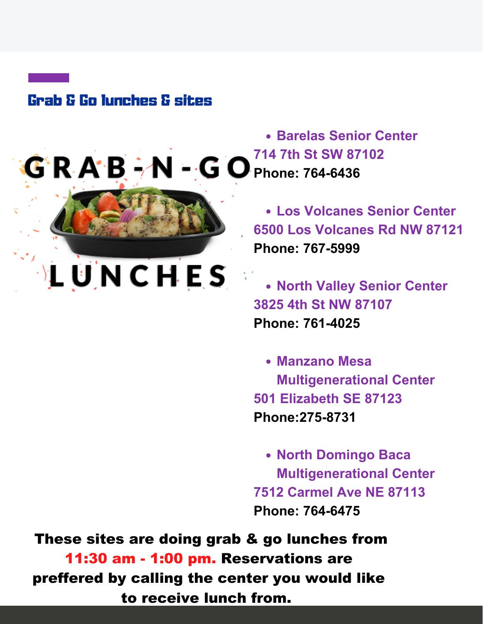# Grab & Go lunches & sites



LUNCHES

**Barelas Senior Center 714 7th St SW 87102**  $G'R A'B - N - G O_{Phone: 764-6436}$ 

> **Los Volcanes Senior Center 6500 Los Volcanes Rd NW 87121 Phone: 767-5999**

**North Valley Senior Center 3825 4th St NW 87107 Phone: 761-4025**

**Manzano Mesa Multigenerational Center 501 Elizabeth SE 87123 Phone:275-8731**

**North Domingo Baca Multigenerational Center 7512 Carmel Ave NE 87113 Phone: 764-6475**

These sites are doing grab & go lunches from 11:30 am - 1:00 pm. Reservations are preffered by calling the center you would like to receive lunch from.